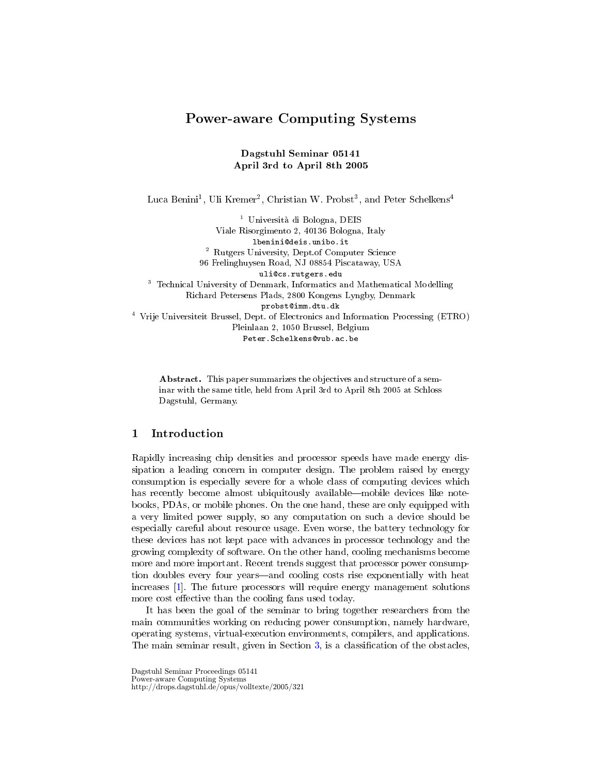# Power-aware Computing Systems

Dagstuhl Seminar 05141 April 3rd to April 8th 2005

Luca Benini<sup>1</sup>, Uli Kremer<sup>2</sup>, Christian W. Probst<sup>3</sup>, and Peter Schelkens<sup>4</sup>

<sup>1</sup> Università di Bologna, DEIS Viale Risorgimento 2, 40136 Bologna, Italy lbenini@deis.unibo.it <sup>2</sup> Rutgers University, Dept.of Computer Science 96 Frelinghuysen Road, NJ 08854 Piscataway, USA uli@cs.rutgers.edu <sup>3</sup> Technical University of Denmark, Informatics and Mathematical Modelling Richard Petersens Plads, 2800 Kongens Lyngby, Denmark probst@imm.dtu.dk <sup>4</sup> Vrije Universiteit Brussel, Dept. of Electronics and Information Processing (ETRO) Pleinlaan 2, 1050 Brussel, Belgium Peter.Schelkens@vub.ac.be

Abstract. This paper summarizes the objectives and structure of a seminar with the same title, held from April 3rd to April 8th 2005 at Schloss Dagstuhl, Germany.

## 1 Introduction

Rapidly increasing chip densities and processor speeds have made energy dissipation a leading concern in computer design. The problem raised by energy consumption is especially severe for a whole class of computing devices which has recently become almost ubiquitously available—mobile devices like notebooks, PDAs, or mobile phones. On the one hand, these are only equipped with a very limited power supply, so any computation on such a device should be especially careful about resource usage. Even worse, the battery technology for these devices has not kept pace with advances in processor technology and the growing complexity of software. On the other hand, cooling mechanisms become more and more important. Recent trends suggest that processor power consumption doubles every four years—and cooling costs rise exponentially with heat increases [\[1\]](#page-6-0). The future processors will require energy management solutions more cost effective than the cooling fans used today.

It has been the goal of the seminar to bring together researchers from the main communities working on reducing power consumption, namely hardware, operating systems, virtual-execution environments, compilers, and applications. The main seminar result, given in Section [3,](#page-2-0) is a classification of the obstacles,

Dagstuhl Seminar Proceedings 05141

Power-aware Computing Systems

http://drops.dagstuhl.de/opus/volltexte/2005/321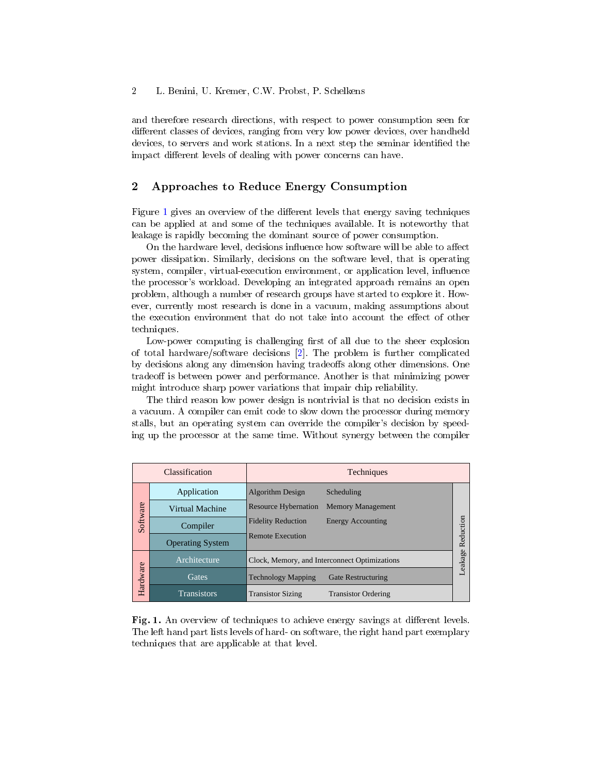and therefore research directions, with respect to power consumption seen for different classes of devices, ranging from very low power devices, over handheld devices, to servers and work stations. In a next step the seminar identified the impact different levels of dealing with power concerns can have.

### 2 Approaches to Reduce Energy Consumption

Figure [1](#page-1-0) gives an overview of the different levels that energy saving techniques can be applied at and some of the techniques available. It is noteworthy that leakage is rapidly becoming the dominant source of power consumption.

On the hardware level, decisions influence how software will be able to affect power dissipation. Similarly, decisions on the software level, that is operating system, compiler, virtual-execution environment, or application level, influence the processor's workload. Developing an integrated approach remains an open problem, although a number of research groups have started to explore it. However, currently most research is done in a vacuum, making assumptions about the execution environment that do not take into account the effect of other techniques.

Low-power computing is challenging first of all due to the sheer explosion of total hardware/software decisions [\[2\]](#page-6-1). The problem is further complicated by decisions along any dimension having tradeoffs along other dimensions. One tradeoff is between power and performance. Another is that minimizing power might introduce sharp power variations that impair chip reliability.

The third reason low power design is nontrivial is that no decision exists in a vacuum. A compiler can emit code to slow down the processor during memory stalls, but an operating system can override the compiler's decision by speeding up the processor at the same time. Without synergy between the compiler

| Classification |                         | Techniques                                              |             |  |
|----------------|-------------------------|---------------------------------------------------------|-------------|--|
| Software       | Application             | <b>Algorithm Design</b><br>Scheduling                   |             |  |
|                | Virtual Machine         | <b>Resource Hybernation</b><br><b>Memory Management</b> | Reduction   |  |
|                | Compiler                | <b>Fidelity Reduction</b><br><b>Energy Accounting</b>   |             |  |
|                | <b>Operating System</b> | <b>Remote Execution</b>                                 |             |  |
| Hardware       | Architecture            | Clock, Memory, and Interconnect Optimizations           |             |  |
|                | Gates                   | <b>Technology Mapping</b><br><b>Gate Restructuring</b>  | eakage<br>ш |  |
|                | <b>Transistors</b>      | <b>Transistor Sizing</b><br><b>Transistor Ordering</b>  |             |  |

<span id="page-1-0"></span>Fig. 1. An overview of techniques to achieve energy savings at different levels. The left hand part lists levels of hard- on software, the right hand part exemplary techniques that are applicable at that level.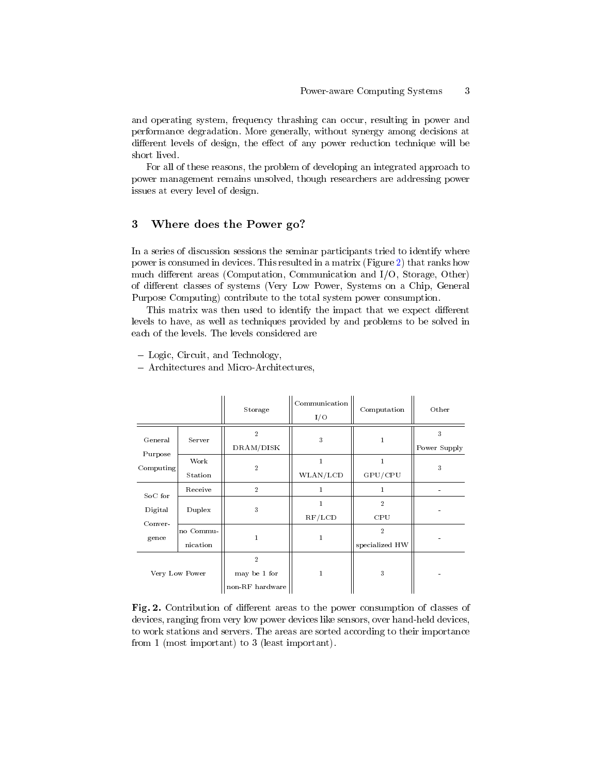and operating system, frequency thrashing can occur, resulting in power and performance degradation. More generally, without synergy among decisions at different levels of design, the effect of any power reduction technique will be short lived.

For all of these reasons, the problem of developing an integrated approach to power management remains unsolved, though researchers are addressing power issues at every level of design.

## <span id="page-2-0"></span>3 Where does the Power go?

In a series of discussion sessions the seminar participants tried to identify where power is consumed in devices. This resulted in a matrix (Figure [2\)](#page-2-1) that ranks how much different areas (Computation, Communication and I/O, Storage, Other) of different classes of systems (Very Low Power, Systems on a Chip, General Purpose Computing) contribute to the total system power consumption.

This matrix was then used to identify the impact that we expect different levels to have, as well as techniques provided by and problems to be solved in each of the levels. The levels considered are

- { Logic, Circuit, and Technology,
- Architectures and Micro-Architectures,

|                      |                       | Storage                                           | Communication<br>I/O     | Computation                      | Other             |
|----------------------|-----------------------|---------------------------------------------------|--------------------------|----------------------------------|-------------------|
| General              | Server                | $\overline{2}$<br>DRAM/DISK                       | 3                        | $\mathbf{1}$                     | 3<br>Power Supply |
| Purpose<br>Computing | Work<br>Station       | $\overline{2}$                                    | $\mathbf{1}$<br>WLAN/LCD | 1<br>GPU/CPU                     | 3                 |
| SoC for              | Receive               | $\overline{2}$                                    | $\mathbf{1}$             | 1                                |                   |
| Digital<br>Conver-   | Duplex                | 3                                                 | 1<br>RF/LCD              | $\overline{2}$<br>CPU            |                   |
| gence                | no Commu-<br>nication | $\mathbf{1}$                                      | $\mathbf{1}$             | $\overline{2}$<br>specialized HW |                   |
| Very Low Power       |                       | $\overline{2}$<br>may be 1 for<br>non-RF hardware | $\mathbf{1}$             | 3                                |                   |

<span id="page-2-1"></span>Fig. 2. Contribution of different areas to the power consumption of classes of devices, ranging from very low power devices like sensors, over hand-held devices, to work stations and servers. The areas are sorted according to their importance from 1 (most important) to 3 (least important).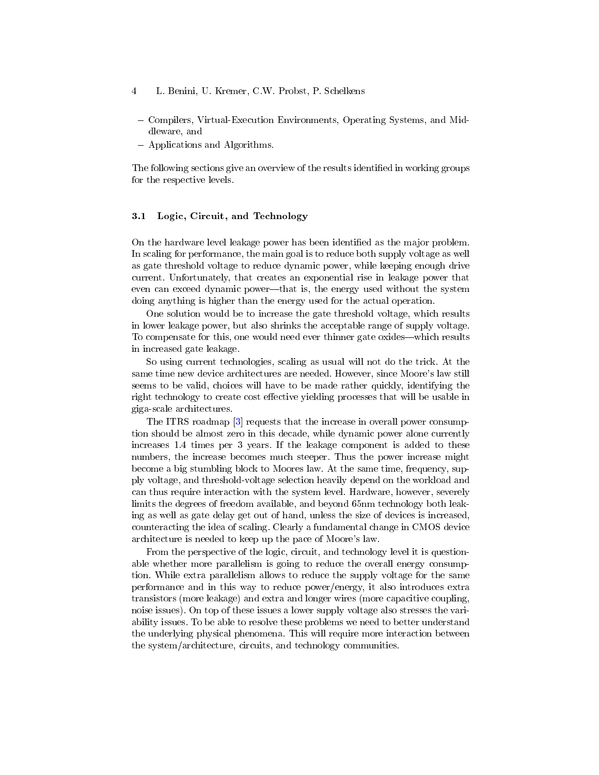- 4 L. Benini, U. Kremer, C.W. Probst, P. Schelkens
- { Compilers, Virtual-Execution Environments, Operating Systems, and Middleware, and
- Applications and Algorithms.

The following sections give an overview of the results identified in working groups for the respective levels.

### 3.1 Logic, Circuit, and Technology

On the hardware level leakage power has been identified as the major problem. In scaling for performance, the main goal is to reduce both supply voltage as well as gate threshold voltage to reduce dynamic power, while keeping enough drive current. Unfortunately, that creates an exponential rise in leakage power that even can exceed dynamic power—that is, the energy used without the system doing anything is higher than the energy used for the actual operation.

One solution would be to increase the gate threshold voltage, which results in lower leakage power, but also shrinks the acceptable range of supply voltage. To compensate for this, one would need ever thinner gate oxides—which results in increased gate leakage.

So using current technologies, scaling as usual will not do the trick. At the same time new device architectures are needed. However, since Moore's law still seems to be valid, choices will have to be made rather quickly, identifying the right technology to create cost effective yielding processes that will be usable in giga-scale architectures.

The ITRS roadmap [\[3\]](#page-6-2) requests that the increase in overall power consumption should be almost zero in this decade, while dynamic power alone currently increases 1.4 times per 3 years. If the leakage component is added to these numbers, the increase becomes much steeper. Thus the power increase might become a big stumbling block to Moores law. At the same time, frequency, supply voltage, and threshold-voltage selection heavily depend on the workload and can thus require interaction with the system level. Hardware, however, severely limits the degrees of freedom available, and beyond 65nm technology both leaking as well as gate delay get out of hand, unless the size of devices is increased, counteracting the idea of scaling. Clearly a fundamental change in CMOS device architecture is needed to keep up the pace of Moore's law.

From the perspective of the logic, circuit, and technology level it is questionable whether more parallelism is going to reduce the overall energy consumption. While extra parallelism allows to reduce the supply voltage for the same performance and in this way to reduce power/energy, it also introduces extra transistors (more leakage) and extra and longer wires (more capacitive coupling, noise issues). On top of these issues a lower supply voltage also stresses the variability issues. To be able to resolve these problems we need to better understand the underlying physical phenomena. This will require more interaction between the system/architecture, circuits, and technology communities.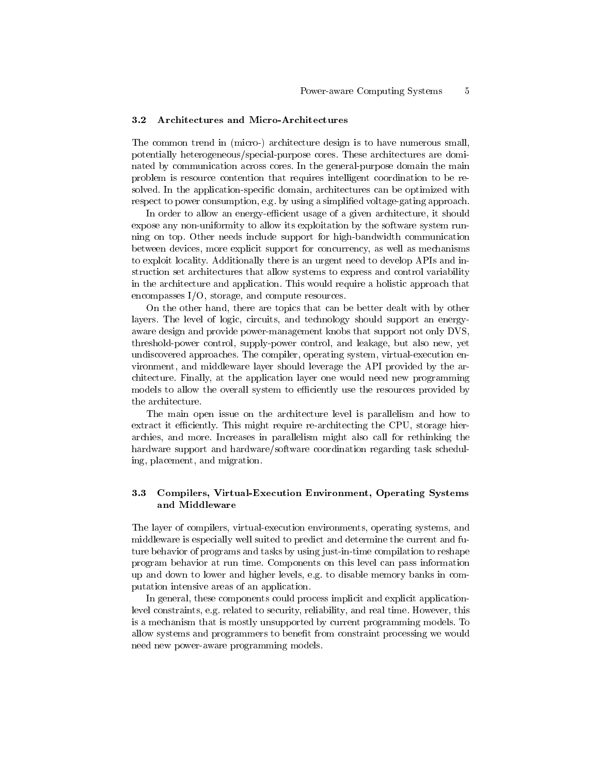#### 3.2 Architectures and Micro-Architectures

The common trend in (micro-) architecture design is to have numerous small, potentially heterogeneous/special-purpose cores. These architectures are dominated by communication across cores. In the general-purpose domain the main problem is resource contention that requires intelligent coordination to be resolved. In the application-specic domain, architectures can be optimized with respect to power consumption, e.g. by using a simplified voltage-gating approach.

In order to allow an energy-efficient usage of a given architecture, it should expose any non-uniformity to allow its exploitation by the software system running on top. Other needs include support for high-bandwidth communication between devices, more explicit support for concurrency, as well as mechanisms to exploit locality. Additionally there is an urgent need to develop APIs and instruction set architectures that allow systems to express and control variability in the architecture and application. This would require a holistic approach that encompasses I/O, storage, and compute resources.

On the other hand, there are topics that can be better dealt with by other layers. The level of logic, circuits, and technology should support an energyaware design and provide power-management knobs that support not only DVS, threshold-power control, supply-power control, and leakage, but also new, yet undiscovered approaches. The compiler, operating system, virtual-execution environment, and middleware layer should leverage the API provided by the architecture. Finally, at the application layer one would need new programming models to allow the overall system to efficiently use the resources provided by the architecture.

The main open issue on the architecture level is parallelism and how to extract it efficiently. This might require re-architecting the CPU, storage hierarchies, and more. Increases in parallelism might also call for rethinking the hardware support and hardware/software coordination regarding task scheduling, placement, and migration.

### 3.3 Compilers, Virtual-Execution Environment, Operating Systems and Middleware

The layer of compilers, virtual-execution environments, operating systems, and middleware is especially well suited to predict and determine the current and future behavior of programs and tasks by using just-in-time compilation to reshape program behavior at run time. Components on this level can pass information up and down to lower and higher levels, e.g. to disable memory banks in computation intensive areas of an application.

In general, these components could process implicit and explicit applicationlevel constraints, e.g. related to security, reliability, and real time. However, this is a mechanism that is mostly unsupported by current programming models. To allow systems and programmers to benet from constraint processing we would need new power-aware programming models.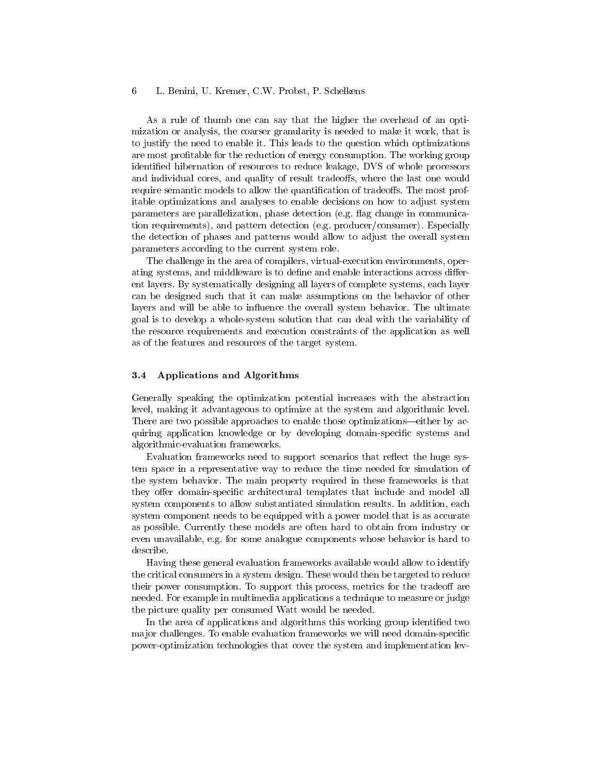#### 6 L. Benini, U. Kremer, C.W. Probst, P. Schelkens

As a rule of thumb one can say that the higher the overhead of an optimization or analysis, the coarser granularity is needed to make it work, that is to justify the need to enable it. This leads to the question which optimizations are most protable for the reduction of energy consumption. The working group identied hibernation of resources to reduce leakage, DVS of whole processors and individual cores, and quality of result tradeoffs, where the last one would require semantic models to allow the quantification of tradeoffs. The most profitable optimizations and analyses to enable decisions on how to adjust system parameters are parallelization, phase detection (e.g. flag change in communication requirements), and pattern detection (e.g. producer/consumer). Especially the detection of phases and patterns would allow to adjust the overall system parameters according to the current system role.

The challenge in the area of compilers, virtual-execution environments, operating systems, and middleware is to define and enable interactions across different layers. By systematically designing all layers of complete systems, each layer can be designed such that it can make assumptions on the behavior of other layers and will be able to influence the overall system behavior. The ultimate goal is to develop a whole-system solution that can deal with the variability of the resource requirements and execution constraints of the application as well as of the features and resources of the target system.

#### 3.4 Applications and Algorithms

Generally speaking the optimization potential increases with the abstraction level, making it advantageous to optimize at the system and algorithmic level. There are two possible approaches to enable those optimizations—either by acquiring application knowledge or by developing domain-specic systems and algorithmic-evaluation frameworks.

Evaluation frameworks need to support scenarios that reflect the huge system space in a representative way to reduce the time needed for simulation of the system behavior. The main property required in these frameworks is that they offer domain-specific architectural templates that include and model all system components to allow substantiated simulation results. In addition, each system component needs to be equipped with a power model that is as accurate as possible. Currently these models are often hard to obtain from industry or even unavailable, e.g. for some analogue components whose behavior is hard to describe.

Having these general evaluation frameworks available would allow to identify the critical consumers in a system design. These would then be targeted to reduce their power consumption. To support this process, metrics for the tradeoff are needed. For example in multimedia applications a technique to measure or judge the picture quality per consumed Watt would be needed.

In the area of applications and algorithms this working group identified two major challenges. To enable evaluation frameworks we will need domain-specic power-optimization technologies that cover the system and implementation lev